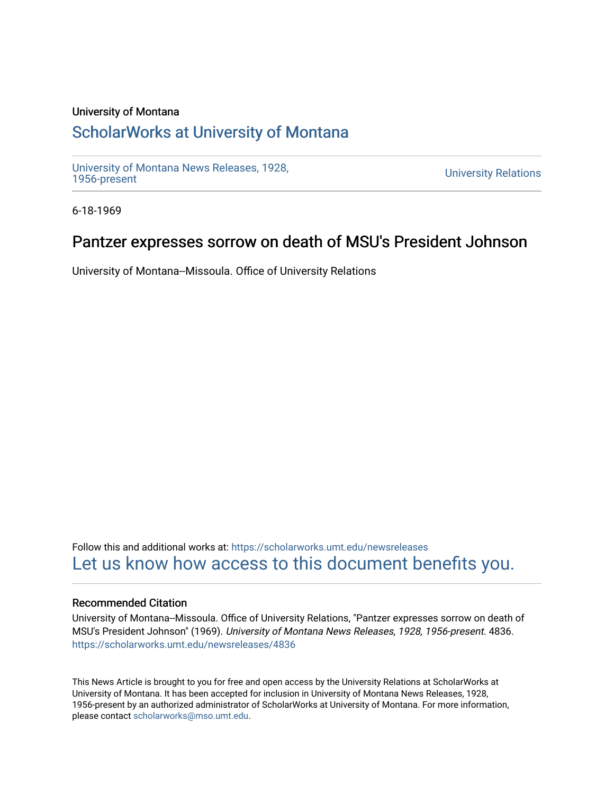### University of Montana

# [ScholarWorks at University of Montana](https://scholarworks.umt.edu/)

[University of Montana News Releases, 1928,](https://scholarworks.umt.edu/newsreleases) 

**University Relations** 

6-18-1969

## Pantzer expresses sorrow on death of MSU's President Johnson

University of Montana--Missoula. Office of University Relations

Follow this and additional works at: [https://scholarworks.umt.edu/newsreleases](https://scholarworks.umt.edu/newsreleases?utm_source=scholarworks.umt.edu%2Fnewsreleases%2F4836&utm_medium=PDF&utm_campaign=PDFCoverPages) [Let us know how access to this document benefits you.](https://goo.gl/forms/s2rGfXOLzz71qgsB2) 

### Recommended Citation

University of Montana--Missoula. Office of University Relations, "Pantzer expresses sorrow on death of MSU's President Johnson" (1969). University of Montana News Releases, 1928, 1956-present. 4836. [https://scholarworks.umt.edu/newsreleases/4836](https://scholarworks.umt.edu/newsreleases/4836?utm_source=scholarworks.umt.edu%2Fnewsreleases%2F4836&utm_medium=PDF&utm_campaign=PDFCoverPages) 

This News Article is brought to you for free and open access by the University Relations at ScholarWorks at University of Montana. It has been accepted for inclusion in University of Montana News Releases, 1928, 1956-present by an authorized administrator of ScholarWorks at University of Montana. For more information, please contact [scholarworks@mso.umt.edu.](mailto:scholarworks@mso.umt.edu)